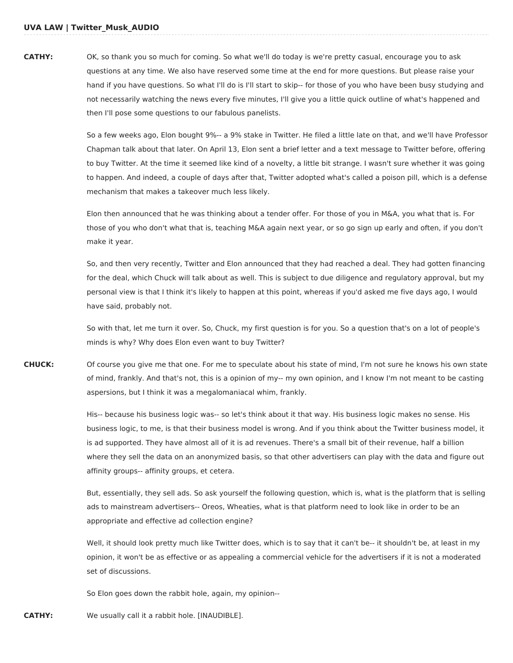## **CATHY:** OK, so thank you so much for coming. So what we'll do today is we're pretty casual, encourage you to ask questions at any time. We also have reserved some time at the end for more questions. But please raise your hand if you have questions. So what I'll do is I'll start to skip-- for those of you who have been busy studying and not necessarily watching the news every five minutes, I'll give you a little quick outline of what's happened and then I'll pose some questions to our fabulous panelists.

So a few weeks ago, Elon bought 9%-- a 9% stake in Twitter. He filed a little late on that, and we'll have Professor Chapman talk about that later. On April 13, Elon sent a brief letter and a text message to Twitter before, offering to buy Twitter. At the time it seemed like kind of a novelty, a little bit strange. I wasn't sure whether it was going to happen. And indeed, a couple of days after that, Twitter adopted what's called a poison pill, which is a defense mechanism that makes a takeover much less likely.

Elon then announced that he was thinking about a tender offer. For those of you in M&A, you what that is. For those of you who don't what that is, teaching M&A again next year, or so go sign up early and often, if you don't make it year.

So, and then very recently, Twitter and Elon announced that they had reached a deal. They had gotten financing for the deal, which Chuck will talk about as well. This is subject to due diligence and regulatory approval, but my personal view is that I think it's likely to happen at this point, whereas if you'd asked me five days ago, I would have said, probably not.

So with that, let me turn it over. So, Chuck, my first question is for you. So a question that's on a lot of people's minds is why? Why does Elon even want to buy Twitter?

**CHUCK:** Of course you give me that one. For me to speculate about his state of mind, I'm not sure he knows his own state of mind, frankly. And that's not, this is a opinion of my-- my own opinion, and I know I'm not meant to be casting aspersions, but I think it was a megalomaniacal whim, frankly.

> His-- because his business logic was-- so let's think about it that way. His business logic makes no sense. His business logic, to me, is that their business model is wrong. And if you think about the Twitter business model, it is ad supported. They have almost all of it is ad revenues. There's a small bit of their revenue, half a billion where they sell the data on an anonymized basis, so that other advertisers can play with the data and figure out affinity groups-- affinity groups, et cetera.

> But, essentially, they sell ads. So ask yourself the following question, which is, what is the platform that is selling ads to mainstream advertisers-- Oreos, Wheaties, what is that platform need to look like in order to be an appropriate and effective ad collection engine?

Well, it should look pretty much like Twitter does, which is to say that it can't be-- it shouldn't be, at least in my opinion, it won't be as effective or as appealing a commercial vehicle for the advertisers if it is not a moderated set of discussions.

So Elon goes down the rabbit hole, again, my opinion--

**CATHY:** We usually call it a rabbit hole. [INAUDIBLE].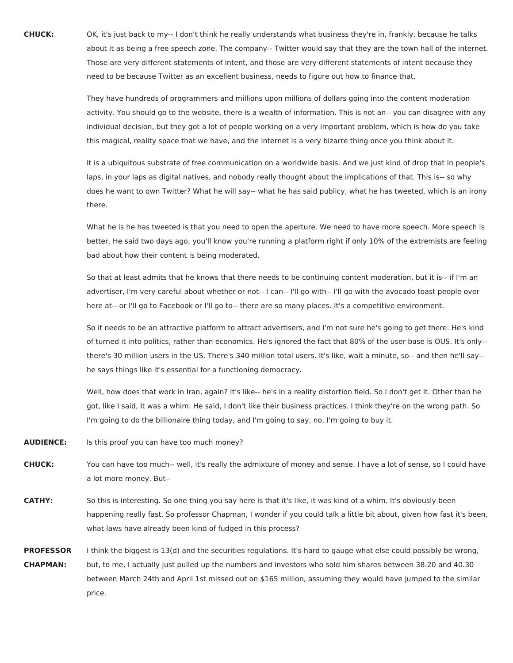**CHUCK:** OK, it's just back to my-- I don't think he really understands what business they're in, frankly, because he talks about it as being a free speech zone. The company-- Twitter would say that they are the town hall of the internet. Those are very different statements of intent, and those are very different statements of intent because they need to be because Twitter as an excellent business, needs to figure out how to finance that.

> They have hundreds of programmers and millions upon millions of dollars going into the content moderation activity. You should go to the website, there is a wealth of information. This is not an-- you can disagree with any individual decision, but they got a lot of people working on a very important problem, which is how do you take this magical, reality space that we have, and the internet is a very bizarre thing once you think about it.

> It is a ubiquitous substrate of free communication on a worldwide basis. And we just kind of drop that in people's laps, in your laps as digital natives, and nobody really thought about the implications of that. This is-- so why does he want to own Twitter? What he will say-- what he has said publicy, what he has tweeted, which is an irony there.

> What he is he has tweeted is that you need to open the aperture. We need to have more speech. More speech is better. He said two days ago, you'll know you're running a platform right if only 10% of the extremists are feeling bad about how their content is being moderated.

So that at least admits that he knows that there needs to be continuing content moderation, but it is-- if I'm an advertiser, I'm very careful about whether or not-- I can-- I'll go with-- I'll go with the avocado toast people over here at-- or I'll go to Facebook or I'll go to-- there are so many places. It's a competitive environment.

So it needs to be an attractive platform to attract advertisers, and I'm not sure he's going to get there. He's kind of turned it into politics, rather than economics. He's ignored the fact that 80% of the user base is OUS. It's only- there's 30 million users in the US. There's 340 million total users. It's like, wait a minute, so-- and then he'll say- he says things like it's essential for a functioning democracy.

Well, how does that work in Iran, again? It's like-- he's in a reality distortion field. So I don't get it. Other than he got, like I said, it was a whim. He said, I don't like their business practices. I think they're on the wrong path. So I'm going to do the billionaire thing today, and I'm going to say, no, I'm going to buy it.

- **AUDIENCE:** Is this proof you can have too much money?
- **CHUCK:** You can have too much-- well, it's really the admixture of money and sense. I have a lot of sense, so I could have a lot more money. But--
- **CATHY:** So this is interesting. So one thing you say here is that it's like, it was kind of a whim. It's obviously been happening really fast. So professor Chapman, I wonder if you could talk a little bit about, given how fast it's been, what laws have already been kind of fudged in this process?
- **PROFESSOR CHAPMAN:** I think the biggest is 13(d) and the securities regulations. It's hard to gauge what else could possibly be wrong, but, to me, I actually just pulled up the numbers and investors who sold him shares between 38.20 and 40.30 between March 24th and April 1st missed out on \$165 million, assuming they would have jumped to the similar price.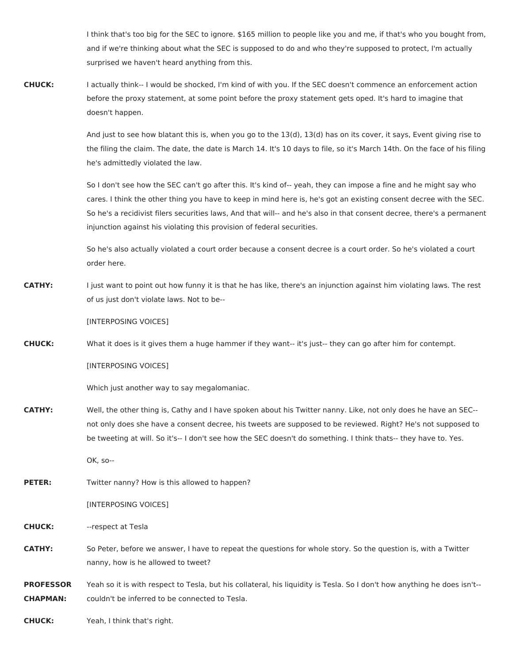I think that's too big for the SEC to ignore. \$165 million to people like you and me, if that's who you bought from, and if we're thinking about what the SEC is supposed to do and who they're supposed to protect, I'm actually surprised we haven't heard anything from this.

**CHUCK:** I actually think-- I would be shocked, I'm kind of with you. If the SEC doesn't commence an enforcement action before the proxy statement, at some point before the proxy statement gets oped. It's hard to imagine that doesn't happen.

> And just to see how blatant this is, when you go to the 13(d), 13(d) has on its cover, it says, Event giving rise to the filing the claim. The date, the date is March 14. It's 10 days to file, so it's March 14th. On the face of his filing he's admittedly violated the law.

> So I don't see how the SEC can't go after this. It's kind of-- yeah, they can impose a fine and he might say who cares. I think the other thing you have to keep in mind here is, he's got an existing consent decree with the SEC. So he's a recidivist filers securities laws, And that will-- and he's also in that consent decree, there's a permanent injunction against his violating this provision of federal securities.

So he's also actually violated a court order because a consent decree is a court order. So he's violated a court order here.

**CATHY:** I just want to point out how funny it is that he has like, there's an injunction against him violating laws. The rest of us just don't violate laws. Not to be--

[INTERPOSING VOICES]

**CHUCK:** What it does is it gives them a huge hammer if they want-- it's just-- they can go after him for contempt.

[INTERPOSING VOICES]

Which just another way to say megalomaniac.

**CATHY:** Well, the other thing is, Cathy and I have spoken about his Twitter nanny. Like, not only does he have an SEC- not only does she have a consent decree, his tweets are supposed to be reviewed. Right? He's not supposed to be tweeting at will. So it's-- I don't see how the SEC doesn't do something. I think thats-- they have to. Yes.

OK, so--

**PETER:** Twitter nanny? How is this allowed to happen?

[INTERPOSING VOICES]

**CHUCK:** --respect at Tesla

- **CATHY:** So Peter, before we answer, I have to repeat the questions for whole story. So the question is, with a Twitter nanny, how is he allowed to tweet?
- **PROFESSOR CHAPMAN:** Yeah so it is with respect to Tesla, but his collateral, his liquidity is Tesla. So I don't how anything he does isn't- couldn't be inferred to be connected to Tesla.

**CHUCK:** Yeah, I think that's right.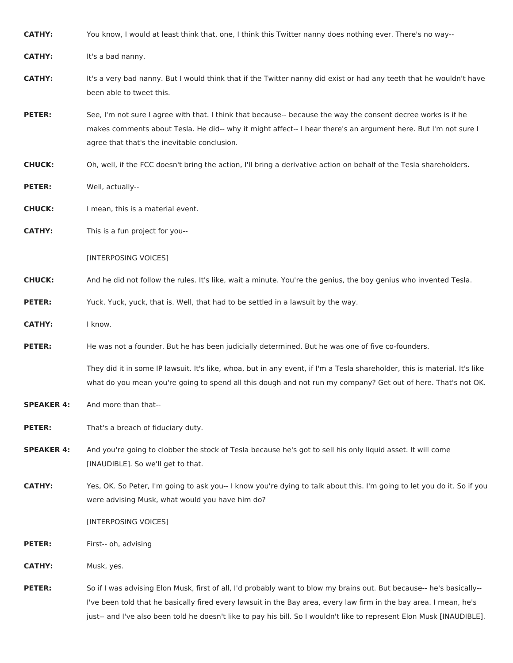| <b>CATHY:</b>     | You know, I would at least think that, one, I think this Twitter nanny does nothing ever. There's no way--                                                                                                                                                                      |
|-------------------|---------------------------------------------------------------------------------------------------------------------------------------------------------------------------------------------------------------------------------------------------------------------------------|
| <b>CATHY:</b>     | It's a bad nanny.                                                                                                                                                                                                                                                               |
| <b>CATHY:</b>     | It's a very bad nanny. But I would think that if the Twitter nanny did exist or had any teeth that he wouldn't have<br>been able to tweet this.                                                                                                                                 |
| <b>PETER:</b>     | See, I'm not sure I agree with that. I think that because-- because the way the consent decree works is if he<br>makes comments about Tesla. He did-- why it might affect-- I hear there's an argument here. But I'm not sure I<br>agree that that's the inevitable conclusion. |
| <b>CHUCK:</b>     | Oh, well, if the FCC doesn't bring the action, I'll bring a derivative action on behalf of the Tesla shareholders.                                                                                                                                                              |
| <b>PETER:</b>     | Well, actually--                                                                                                                                                                                                                                                                |
| <b>CHUCK:</b>     | I mean, this is a material event.                                                                                                                                                                                                                                               |
| <b>CATHY:</b>     | This is a fun project for you--                                                                                                                                                                                                                                                 |
|                   | [INTERPOSING VOICES]                                                                                                                                                                                                                                                            |
| <b>CHUCK:</b>     | And he did not follow the rules. It's like, wait a minute. You're the genius, the boy genius who invented Tesla.                                                                                                                                                                |
| <b>PETER:</b>     | Yuck. Yuck, yuck, that is. Well, that had to be settled in a lawsuit by the way.                                                                                                                                                                                                |
| <b>CATHY:</b>     | I know.                                                                                                                                                                                                                                                                         |
| <b>PETER:</b>     | He was not a founder. But he has been judicially determined. But he was one of five co-founders.                                                                                                                                                                                |
|                   | They did it in some IP lawsuit. It's like, whoa, but in any event, if I'm a Tesla shareholder, this is material. It's like<br>what do you mean you're going to spend all this dough and not run my company? Get out of here. That's not OK.                                     |
| <b>SPEAKER 4:</b> | And more than that--                                                                                                                                                                                                                                                            |
| <b>PETER:</b>     | That's a breach of fiduciary duty.                                                                                                                                                                                                                                              |
| <b>SPEAKER 4:</b> | And you're going to clobber the stock of Tesla because he's got to sell his only liquid asset. It will come<br>[INAUDIBLE]. So we'll get to that.                                                                                                                               |
| <b>CATHY:</b>     | Yes, OK. So Peter, I'm going to ask you-- I know you're dying to talk about this. I'm going to let you do it. So if you<br>were advising Musk, what would you have him do?                                                                                                      |
|                   | [INTERPOSING VOICES]                                                                                                                                                                                                                                                            |
| <b>PETER:</b>     | First-- oh, advising                                                                                                                                                                                                                                                            |
| <b>CATHY:</b>     | Musk, yes.                                                                                                                                                                                                                                                                      |
| <b>PETER:</b>     | So if I was advising Elon Musk, first of all, I'd probably want to blow my brains out. But because-- he's basically--<br>I've been told that he basically fired every lawsuit in the Bay area, every law firm in the bay area. I mean, he's                                     |

just-- and I've also been told he doesn't like to pay his bill. So I wouldn't like to represent Elon Musk [INAUDIBLE].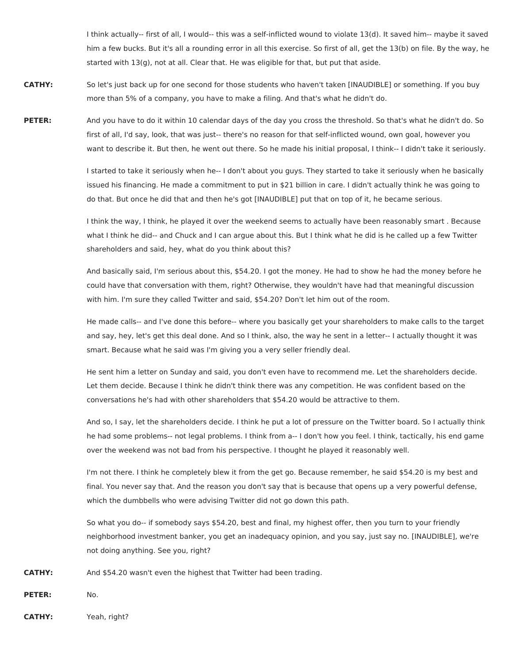I think actually-- first of all, I would-- this was a self-inflicted wound to violate 13(d). It saved him-- maybe it saved him a few bucks. But it's all a rounding error in all this exercise. So first of all, get the 13(b) on file. By the way, he started with 13(g), not at all. Clear that. He was eligible for that, but put that aside.

- **CATHY:** So let's just back up for one second for those students who haven't taken [INAUDIBLE] or something. If you buy more than 5% of a company, you have to make a filing. And that's what he didn't do.
- **PETER:** And you have to do it within 10 calendar days of the day you cross the threshold. So that's what he didn't do. So first of all, I'd say, look, that was just-- there's no reason for that self-inflicted wound, own goal, however you want to describe it. But then, he went out there. So he made his initial proposal, I think-- I didn't take it seriously.

I started to take it seriously when he-- I don't about you guys. They started to take it seriously when he basically issued his financing. He made a commitment to put in \$21 billion in care. I didn't actually think he was going to do that. But once he did that and then he's got [INAUDIBLE] put that on top of it, he became serious.

I think the way, I think, he played it over the weekend seems to actually have been reasonably smart . Because what I think he did-- and Chuck and I can argue about this. But I think what he did is he called up a few Twitter shareholders and said, hey, what do you think about this?

And basically said, I'm serious about this, \$54.20. I got the money. He had to show he had the money before he could have that conversation with them, right? Otherwise, they wouldn't have had that meaningful discussion with him. I'm sure they called Twitter and said, \$54.20? Don't let him out of the room.

He made calls-- and I've done this before-- where you basically get your shareholders to make calls to the target and say, hey, let's get this deal done. And so I think, also, the way he sent in a letter-- I actually thought it was smart. Because what he said was I'm giving you a very seller friendly deal.

He sent him a letter on Sunday and said, you don't even have to recommend me. Let the shareholders decide. Let them decide. Because I think he didn't think there was any competition. He was confident based on the conversations he's had with other shareholders that \$54.20 would be attractive to them.

And so, I say, let the shareholders decide. I think he put a lot of pressure on the Twitter board. So I actually think he had some problems-- not legal problems. I think from a-- I don't how you feel. I think, tactically, his end game over the weekend was not bad from his perspective. I thought he played it reasonably well.

I'm not there. I think he completely blew it from the get go. Because remember, he said \$54.20 is my best and final. You never say that. And the reason you don't say that is because that opens up a very powerful defense, which the dumbbells who were advising Twitter did not go down this path.

So what you do-- if somebody says \$54.20, best and final, my highest offer, then you turn to your friendly neighborhood investment banker, you get an inadequacy opinion, and you say, just say no. [INAUDIBLE], we're not doing anything. See you, right?

**CATHY:** And \$54.20 wasn't even the highest that Twitter had been trading.

**PETER:** No.

**CATHY:** Yeah, right?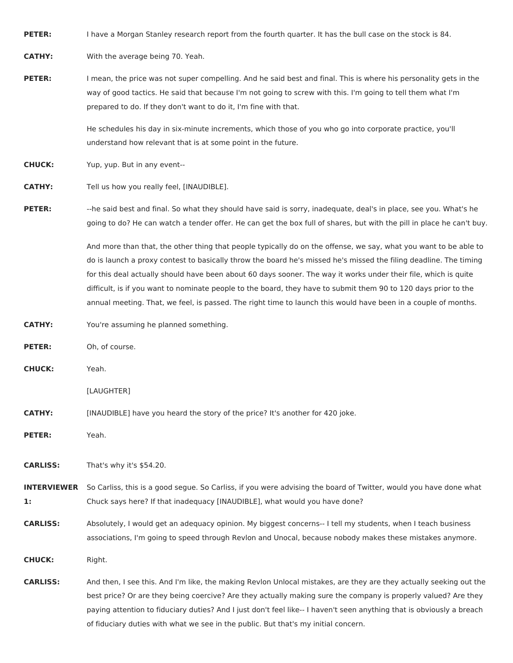**PETER:** I have a Morgan Stanley research report from the fourth quarter. It has the bull case on the stock is 84.

**CATHY:** With the average being 70. Yeah.

**PETER:** I mean, the price was not super compelling. And he said best and final. This is where his personality gets in the way of good tactics. He said that because I'm not going to screw with this. I'm going to tell them what I'm prepared to do. If they don't want to do it, I'm fine with that.

> He schedules his day in six-minute increments, which those of you who go into corporate practice, you'll understand how relevant that is at some point in the future.

**CHUCK:** Yup, yup. But in any event--

**CATHY:** Tell us how you really feel, [INAUDIBLE].

**PETER:** --he said best and final. So what they should have said is sorry, inadequate, deal's in place, see you. What's he going to do? He can watch a tender offer. He can get the box full of shares, but with the pill in place he can't buy.

> And more than that, the other thing that people typically do on the offense, we say, what you want to be able to do is launch a proxy contest to basically throw the board he's missed he's missed the filing deadline. The timing for this deal actually should have been about 60 days sooner. The way it works under their file, which is quite difficult, is if you want to nominate people to the board, they have to submit them 90 to 120 days prior to the annual meeting. That, we feel, is passed. The right time to launch this would have been in a couple of months.

**CATHY:** You're assuming he planned something.

**PETER:** Oh, of course.

**CHUCK:** Yeah.

[LAUGHTER]

- **CATHY:** [INAUDIBLE] have you heard the story of the price? It's another for 420 joke.
- **PETER:** Yeah.

**CARLISS:** That's why it's \$54.20.

**INTERVIEWER** So Carliss, this is a good segue. So Carliss, if you were advising the board of Twitter, would you have done what **1:** Chuck says here? If that inadequacy [INAUDIBLE], what would you have done?

**CARLISS:** Absolutely, I would get an adequacy opinion. My biggest concerns-- I tell my students, when I teach business associations, I'm going to speed through Revlon and Unocal, because nobody makes these mistakes anymore.

**CHUCK:** Right.

**CARLISS:** And then, I see this. And I'm like, the making Revlon Unlocal mistakes, are they are they actually seeking out the best price? Or are they being coercive? Are they actually making sure the company is properly valued? Are they paying attention to fiduciary duties? And I just don't feel like-- I haven't seen anything that is obviously a breach of fiduciary duties with what we see in the public. But that's my initial concern.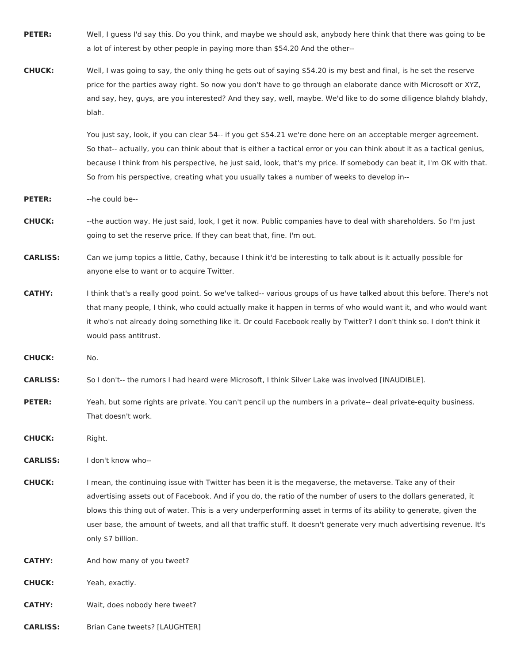- **PETER:** Well, I guess I'd say this. Do you think, and maybe we should ask, anybody here think that there was going to be a lot of interest by other people in paying more than \$54.20 And the other--
- **CHUCK:** Well, I was going to say, the only thing he gets out of saying \$54.20 is my best and final, is he set the reserve price for the parties away right. So now you don't have to go through an elaborate dance with Microsoft or XYZ, and say, hey, guys, are you interested? And they say, well, maybe. We'd like to do some diligence blahdy blahdy, blah.

You just say, look, if you can clear 54-- if you get \$54.21 we're done here on an acceptable merger agreement. So that-- actually, you can think about that is either a tactical error or you can think about it as a tactical genius, because I think from his perspective, he just said, look, that's my price. If somebody can beat it, I'm OK with that. So from his perspective, creating what you usually takes a number of weeks to develop in--

- **PETER:** --he could be--
- **CHUCK:** --the auction way. He just said, look, I get it now. Public companies have to deal with shareholders. So I'm just going to set the reserve price. If they can beat that, fine. I'm out.
- **CARLISS:** Can we jump topics a little, Cathy, because I think it'd be interesting to talk about is it actually possible for anyone else to want or to acquire Twitter.
- **CATHY:** I think that's a really good point. So we've talked-- various groups of us have talked about this before. There's not that many people, I think, who could actually make it happen in terms of who would want it, and who would want it who's not already doing something like it. Or could Facebook really by Twitter? I don't think so. I don't think it would pass antitrust.
- **CHUCK:** No.
- **CARLISS:** So I don't-- the rumors I had heard were Microsoft, I think Silver Lake was involved [INAUDIBLE].
- **PETER:** Yeah, but some rights are private. You can't pencil up the numbers in a private-- deal private-equity business. That doesn't work.

**CHUCK:** Right.

**CARLISS:** I don't know who--

**CHUCK:** I mean, the continuing issue with Twitter has been it is the megaverse, the metaverse. Take any of their advertising assets out of Facebook. And if you do, the ratio of the number of users to the dollars generated, it blows this thing out of water. This is a very underperforming asset in terms of its ability to generate, given the user base, the amount of tweets, and all that traffic stuff. It doesn't generate very much advertising revenue. It's only \$7 billion.

- **CATHY:** And how many of you tweet?
- **CHUCK:** Yeah, exactly.
- **CATHY:** Wait, does nobody here tweet?
- **CARLISS:** Brian Cane tweets? [LAUGHTER]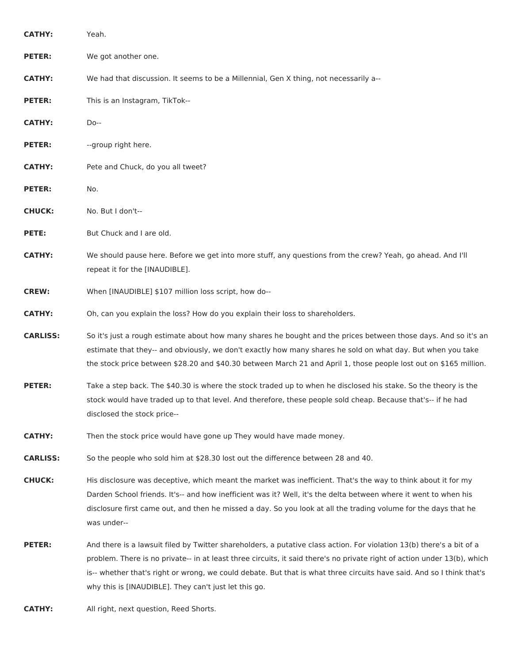| <b>CATHY:</b>   | Yeah.                                                                                                                                                                                                                                                                                                                                                                                                                               |
|-----------------|-------------------------------------------------------------------------------------------------------------------------------------------------------------------------------------------------------------------------------------------------------------------------------------------------------------------------------------------------------------------------------------------------------------------------------------|
| <b>PETER:</b>   | We got another one.                                                                                                                                                                                                                                                                                                                                                                                                                 |
| <b>CATHY:</b>   | We had that discussion. It seems to be a Millennial, Gen X thing, not necessarily a--                                                                                                                                                                                                                                                                                                                                               |
| <b>PETER:</b>   | This is an Instagram, TikTok--                                                                                                                                                                                                                                                                                                                                                                                                      |
| <b>CATHY:</b>   | Do--                                                                                                                                                                                                                                                                                                                                                                                                                                |
| <b>PETER:</b>   | --group right here.                                                                                                                                                                                                                                                                                                                                                                                                                 |
| <b>CATHY:</b>   | Pete and Chuck, do you all tweet?                                                                                                                                                                                                                                                                                                                                                                                                   |
| <b>PETER:</b>   | No.                                                                                                                                                                                                                                                                                                                                                                                                                                 |
| <b>CHUCK:</b>   | No. But I don't--                                                                                                                                                                                                                                                                                                                                                                                                                   |
| PETE:           | But Chuck and I are old.                                                                                                                                                                                                                                                                                                                                                                                                            |
| <b>CATHY:</b>   | We should pause here. Before we get into more stuff, any questions from the crew? Yeah, go ahead. And I'll<br>repeat it for the [INAUDIBLE].                                                                                                                                                                                                                                                                                        |
| <b>CREW:</b>    | When [INAUDIBLE] \$107 million loss script, how do--                                                                                                                                                                                                                                                                                                                                                                                |
| <b>CATHY:</b>   | Oh, can you explain the loss? How do you explain their loss to shareholders.                                                                                                                                                                                                                                                                                                                                                        |
| <b>CARLISS:</b> | So it's just a rough estimate about how many shares he bought and the prices between those days. And so it's an<br>estimate that they-- and obviously, we don't exactly how many shares he sold on what day. But when you take<br>the stock price between \$28.20 and \$40.30 between March 21 and April 1, those people lost out on \$165 million.                                                                                 |
| <b>PETER:</b>   | Take a step back. The \$40.30 is where the stock traded up to when he disclosed his stake. So the theory is the<br>stock would have traded up to that level. And therefore, these people sold cheap. Because that's-- if he had<br>disclosed the stock price--                                                                                                                                                                      |
| <b>CATHY:</b>   | Then the stock price would have gone up They would have made money.                                                                                                                                                                                                                                                                                                                                                                 |
| <b>CARLISS:</b> | So the people who sold him at \$28.30 lost out the difference between 28 and 40.                                                                                                                                                                                                                                                                                                                                                    |
| <b>CHUCK:</b>   | His disclosure was deceptive, which meant the market was inefficient. That's the way to think about it for my<br>Darden School friends. It's-- and how inefficient was it? Well, it's the delta between where it went to when his<br>disclosure first came out, and then he missed a day. So you look at all the trading volume for the days that he<br>was under--                                                                 |
| <b>PETER:</b>   | And there is a lawsuit filed by Twitter shareholders, a putative class action. For violation 13(b) there's a bit of a<br>problem. There is no private-- in at least three circuits, it said there's no private right of action under 13(b), which<br>is-- whether that's right or wrong, we could debate. But that is what three circuits have said. And so I think that's<br>why this is [INAUDIBLE]. They can't just let this go. |

**CATHY:** All right, next question, Reed Shorts.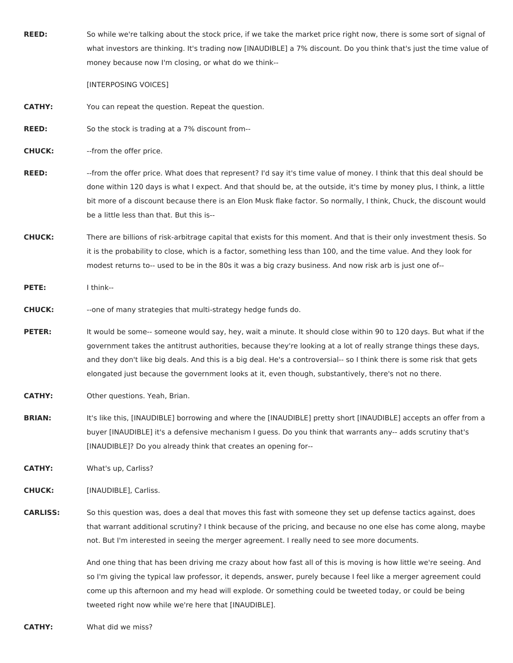**REED:** So while we're talking about the stock price, if we take the market price right now, there is some sort of signal of what investors are thinking. It's trading now [INAUDIBLE] a 7% discount. Do you think that's just the time value of money because now I'm closing, or what do we think--

[INTERPOSING VOICES]

**CATHY:** You can repeat the question. Repeat the question.

**REED:** So the stock is trading at a 7% discount from--

**CHUCK:** --from the offer price.

- **REED:** --from the offer price. What does that represent? I'd say it's time value of money. I think that this deal should be done within 120 days is what I expect. And that should be, at the outside, it's time by money plus, I think, a little bit more of a discount because there is an Elon Musk flake factor. So normally, I think, Chuck, the discount would be a little less than that. But this is--
- **CHUCK:** There are billions of risk-arbitrage capital that exists for this moment. And that is their only investment thesis. So it is the probability to close, which is a factor, something less than 100, and the time value. And they look for modest returns to-- used to be in the 80s it was a big crazy business. And now risk arb is just one of--

**PETE:** I think--

**CHUCK:** --one of many strategies that multi-strategy hedge funds do.

**PETER:** It would be some-- someone would say, hey, wait a minute. It should close within 90 to 120 days. But what if the government takes the antitrust authorities, because they're looking at a lot of really strange things these days, and they don't like big deals. And this is a big deal. He's a controversial-- so I think there is some risk that gets elongated just because the government looks at it, even though, substantively, there's not no there.

**CATHY:** Other questions. Yeah, Brian.

**BRIAN:** It's like this, [INAUDIBLE] borrowing and where the [INAUDIBLE] pretty short [INAUDIBLE] accepts an offer from a buyer [INAUDIBLE] it's a defensive mechanism I guess. Do you think that warrants any-- adds scrutiny that's [INAUDIBLE]? Do you already think that creates an opening for--

**CATHY:** What's up, Carliss?

**CHUCK:** [INAUDIBLE], Carliss.

**CARLISS:** So this question was, does a deal that moves this fast with someone they set up defense tactics against, does that warrant additional scrutiny? I think because of the pricing, and because no one else has come along, maybe not. But I'm interested in seeing the merger agreement. I really need to see more documents.

> And one thing that has been driving me crazy about how fast all of this is moving is how little we're seeing. And so I'm giving the typical law professor, it depends, answer, purely because I feel like a merger agreement could come up this afternoon and my head will explode. Or something could be tweeted today, or could be being tweeted right now while we're here that [INAUDIBLE].

**CATHY:** What did we miss?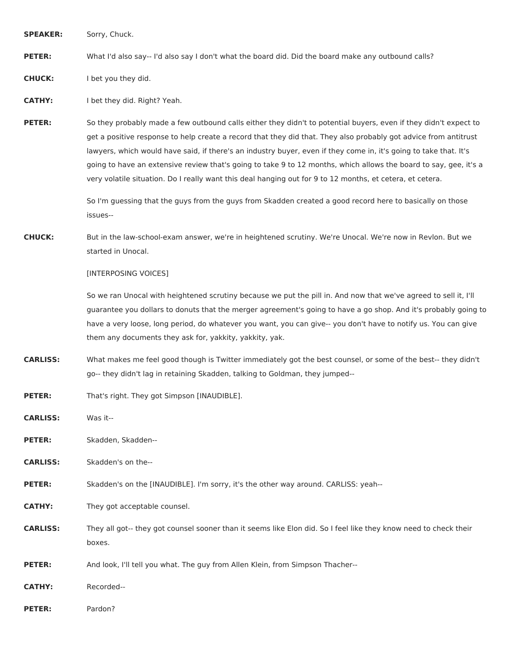**SPEAKER:** Sorry, Chuck.

**PETER:** What I'd also say-- I'd also say I don't what the board did. Did the board make any outbound calls?

**CHUCK:** I bet you they did.

**CATHY:** I bet they did. Right? Yeah.

**PETER:** So they probably made a few outbound calls either they didn't to potential buyers, even if they didn't expect to get a positive response to help create a record that they did that. They also probably got advice from antitrust lawyers, which would have said, if there's an industry buyer, even if they come in, it's going to take that. It's going to have an extensive review that's going to take 9 to 12 months, which allows the board to say, gee, it's a very volatile situation. Do I really want this deal hanging out for 9 to 12 months, et cetera, et cetera.

> So I'm guessing that the guys from the guys from Skadden created a good record here to basically on those issues--

**CHUCK:** But in the law-school-exam answer, we're in heightened scrutiny. We're Unocal. We're now in Revlon. But we started in Unocal.

[INTERPOSING VOICES]

So we ran Unocal with heightened scrutiny because we put the pill in. And now that we've agreed to sell it, I'll guarantee you dollars to donuts that the merger agreement's going to have a go shop. And it's probably going to have a very loose, long period, do whatever you want, you can give-- you don't have to notify us. You can give them any documents they ask for, yakkity, yakkity, yak.

- **CARLISS:** What makes me feel good though is Twitter immediately got the best counsel, or some of the best-- they didn't go-- they didn't lag in retaining Skadden, talking to Goldman, they jumped--
- PETER: That's right. They got Simpson [INAUDIBLE].

**CARLISS:** Was it--

PETER: Skadden, Skadden--

**CARLISS:** Skadden's on the--

**PETER:** Skadden's on the [INAUDIBLE]. I'm sorry, it's the other way around. CARLISS: yeah--

**CATHY:** They got acceptable counsel.

**CARLISS:** They all got-- they got counsel sooner than it seems like Elon did. So I feel like they know need to check their boxes.

**PETER:** And look, I'll tell you what. The guy from Allen Klein, from Simpson Thacher--

**CATHY:** Recorded--

**PETER:** Pardon?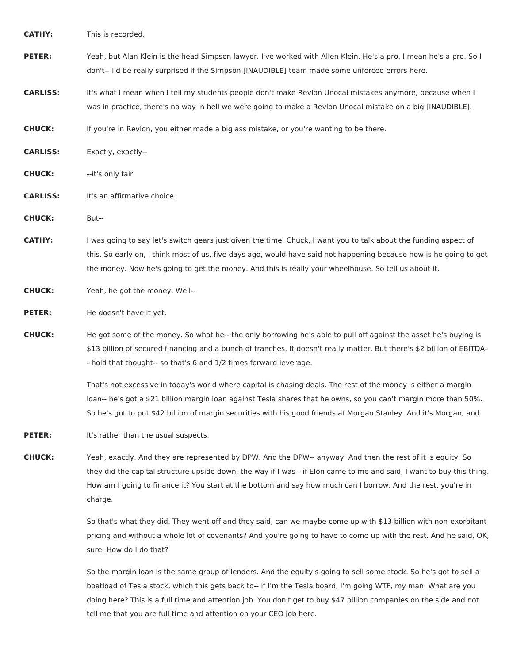**CATHY:** This is recorded.

PETER: Yeah, but Alan Klein is the head Simpson lawyer. I've worked with Allen Klein. He's a pro. I mean he's a pro. So I don't-- I'd be really surprised if the Simpson [INAUDIBLE] team made some unforced errors here.

**CARLISS:** It's what I mean when I tell my students people don't make Revlon Unocal mistakes anymore, because when I was in practice, there's no way in hell we were going to make a Revlon Unocal mistake on a big [INAUDIBLE].

**CHUCK:** If you're in Revlon, you either made a big ass mistake, or you're wanting to be there.

**CARLISS:** Exactly, exactly--

**CHUCK:** --it's only fair.

**CARLISS:** It's an affirmative choice.

**CHUCK:** But--

**CATHY:** I was going to say let's switch gears just given the time. Chuck, I want you to talk about the funding aspect of this. So early on, I think most of us, five days ago, would have said not happening because how is he going to get the money. Now he's going to get the money. And this is really your wheelhouse. So tell us about it.

**CHUCK:** Yeah, he got the money. Well--

**PETER:** He doesn't have it yet.

**CHUCK:** He got some of the money. So what he-- the only borrowing he's able to pull off against the asset he's buying is \$13 billion of secured financing and a bunch of tranches. It doesn't really matter. But there's \$2 billion of EBITDA- - hold that thought-- so that's 6 and 1/2 times forward leverage.

> That's not excessive in today's world where capital is chasing deals. The rest of the money is either a margin loan-- he's got a \$21 billion margin loan against Tesla shares that he owns, so you can't margin more than 50%. So he's got to put \$42 billion of margin securities with his good friends at Morgan Stanley. And it's Morgan, and

**PETER:** It's rather than the usual suspects.

**CHUCK:** Yeah, exactly. And they are represented by DPW. And the DPW-- anyway. And then the rest of it is equity. So they did the capital structure upside down, the way if I was-- if Elon came to me and said, I want to buy this thing. How am I going to finance it? You start at the bottom and say how much can I borrow. And the rest, you're in charge.

> So that's what they did. They went off and they said, can we maybe come up with \$13 billion with non-exorbitant pricing and without a whole lot of covenants? And you're going to have to come up with the rest. And he said, OK, sure. How do I do that?

So the margin loan is the same group of lenders. And the equity's going to sell some stock. So he's got to sell a boatload of Tesla stock, which this gets back to-- if I'm the Tesla board, I'm going WTF, my man. What are you doing here? This is a full time and attention job. You don't get to buy \$47 billion companies on the side and not tell me that you are full time and attention on your CEO job here.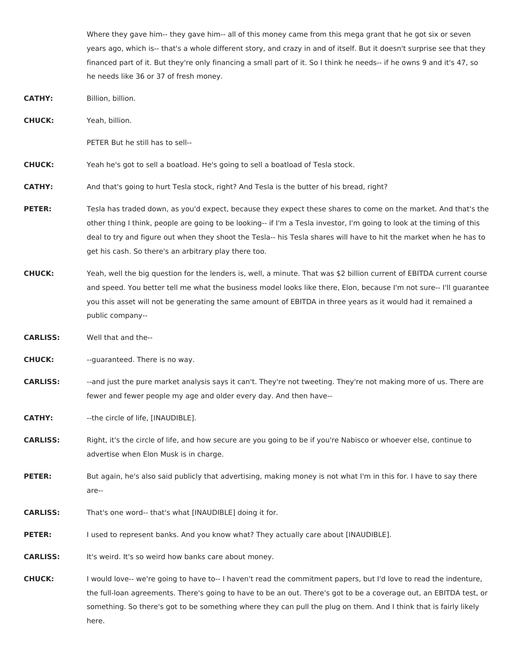Where they gave him-- they gave him-- all of this money came from this mega grant that he got six or seven years ago, which is-- that's a whole different story, and crazy in and of itself. But it doesn't surprise see that they financed part of it. But they're only financing a small part of it. So I think he needs-- if he owns 9 and it's 47, so he needs like 36 or 37 of fresh money.

- **CATHY:** Billion, billion.
- **CHUCK:** Yeah, billion.

PETER But he still has to sell--

**CHUCK:** Yeah he's got to sell a boatload. He's going to sell a boatload of Tesla stock.

**CATHY:** And that's going to hurt Tesla stock, right? And Tesla is the butter of his bread, right?

- **PETER:** Tesla has traded down, as you'd expect, because they expect these shares to come on the market. And that's the other thing I think, people are going to be looking-- if I'm a Tesla investor, I'm going to look at the timing of this deal to try and figure out when they shoot the Tesla-- his Tesla shares will have to hit the market when he has to get his cash. So there's an arbitrary play there too.
- **CHUCK:** Yeah, well the big question for the lenders is, well, a minute. That was \$2 billion current of EBITDA current course and speed. You better tell me what the business model looks like there, Elon, because I'm not sure-- I'll guarantee you this asset will not be generating the same amount of EBITDA in three years as it would had it remained a public company--
- **CARLISS:** Well that and the--

**CHUCK:** --guaranteed. There is no way.

**CARLISS:** --and just the pure market analysis says it can't. They're not tweeting. They're not making more of us. There are fewer and fewer people my age and older every day. And then have--

**CATHY:** --the circle of life, [INAUDIBLE].

**CARLISS:** Right, it's the circle of life, and how secure are you going to be if you're Nabisco or whoever else, continue to advertise when Elon Musk is in charge.

- PETER: But again, he's also said publicly that advertising, making money is not what I'm in this for. I have to say there are--
- **CARLISS:** That's one word-- that's what [INAUDIBLE] doing it for.
- **PETER:** I used to represent banks. And you know what? They actually care about [INAUDIBLE].

**CARLISS:** It's weird. It's so weird how banks care about money.

**CHUCK:** I would love-- we're going to have to-- I haven't read the commitment papers, but I'd love to read the indenture, the full-loan agreements. There's going to have to be an out. There's got to be a coverage out, an EBITDA test, or something. So there's got to be something where they can pull the plug on them. And I think that is fairly likely here.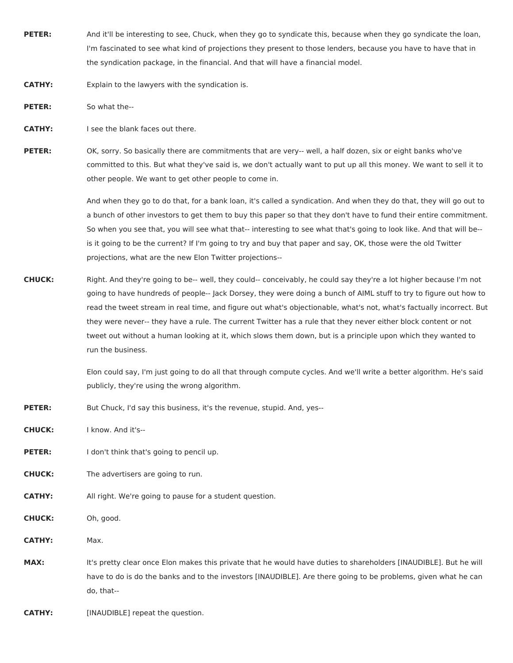- **PETER:** And it'll be interesting to see, Chuck, when they go to syndicate this, because when they go syndicate the loan, I'm fascinated to see what kind of projections they present to those lenders, because you have to have that in the syndication package, in the financial. And that will have a financial model.
- **CATHY:** Explain to the lawyers with the syndication is.
- **PETER:** So what the--
- **CATHY:** I see the blank faces out there.

**PETER:** OK, sorry. So basically there are commitments that are very-- well, a half dozen, six or eight banks who've committed to this. But what they've said is, we don't actually want to put up all this money. We want to sell it to other people. We want to get other people to come in.

> And when they go to do that, for a bank loan, it's called a syndication. And when they do that, they will go out to a bunch of other investors to get them to buy this paper so that they don't have to fund their entire commitment. So when you see that, you will see what that-- interesting to see what that's going to look like. And that will be- is it going to be the current? If I'm going to try and buy that paper and say, OK, those were the old Twitter projections, what are the new Elon Twitter projections--

**CHUCK:** Right. And they're going to be-- well, they could-- conceivably, he could say they're a lot higher because I'm not going to have hundreds of people-- Jack Dorsey, they were doing a bunch of AIML stuff to try to figure out how to read the tweet stream in real time, and figure out what's objectionable, what's not, what's factually incorrect. But they were never-- they have a rule. The current Twitter has a rule that they never either block content or not tweet out without a human looking at it, which slows them down, but is a principle upon which they wanted to run the business.

> Elon could say, I'm just going to do all that through compute cycles. And we'll write a better algorithm. He's said publicly, they're using the wrong algorithm.

- **PETER:** But Chuck, I'd say this business, it's the revenue, stupid. And, yes--
- **CHUCK:** I know. And it's--
- **PETER:** I don't think that's going to pencil up.
- **CHUCK:** The advertisers are going to run.
- **CATHY:** All right. We're going to pause for a student question.
- **CHUCK:** Oh, good.
- **CATHY:** Max.
- **MAX:** It's pretty clear once Elon makes this private that he would have duties to shareholders [INAUDIBLE]. But he will have to do is do the banks and to the investors [INAUDIBLE]. Are there going to be problems, given what he can do, that--

**CATHY:** [INAUDIBLE] repeat the question.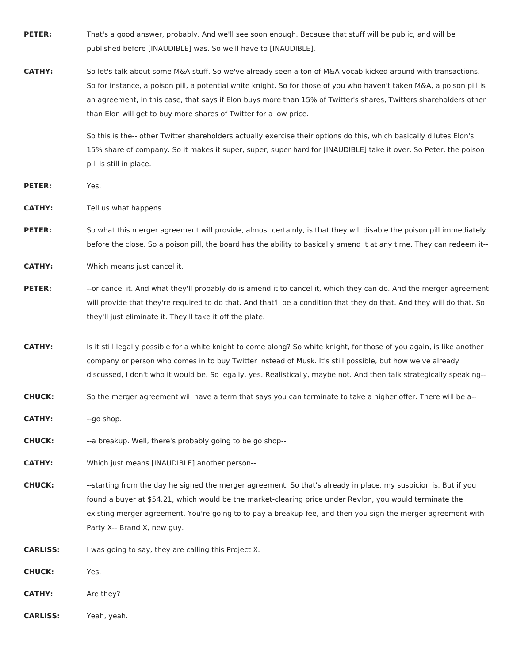- **PETER:** That's a good answer, probably. And we'll see soon enough. Because that stuff will be public, and will be published before [INAUDIBLE] was. So we'll have to [INAUDIBLE].
- **CATHY:** So let's talk about some M&A stuff. So we've already seen a ton of M&A vocab kicked around with transactions. So for instance, a poison pill, a potential white knight. So for those of you who haven't taken M&A, a poison pill is an agreement, in this case, that says if Elon buys more than 15% of Twitter's shares, Twitters shareholders other than Elon will get to buy more shares of Twitter for a low price.

So this is the-- other Twitter shareholders actually exercise their options do this, which basically dilutes Elon's 15% share of company. So it makes it super, super, super hard for [INAUDIBLE] take it over. So Peter, the poison pill is still in place.

**PETER:** Yes.

**CATHY:** Tell us what happens.

**PETER:** So what this merger agreement will provide, almost certainly, is that they will disable the poison pill immediately before the close. So a poison pill, the board has the ability to basically amend it at any time. They can redeem it--

**CATHY:** Which means just cancel it.

- PETER: -- or cancel it. And what they'll probably do is amend it to cancel it, which they can do. And the merger agreement will provide that they're required to do that. And that'll be a condition that they do that. And they will do that. So they'll just eliminate it. They'll take it off the plate.
- **CATHY:** Is it still legally possible for a white knight to come along? So white knight, for those of you again, is like another company or person who comes in to buy Twitter instead of Musk. It's still possible, but how we've already discussed, I don't who it would be. So legally, yes. Realistically, maybe not. And then talk strategically speaking--
- **CHUCK:** So the merger agreement will have a term that says you can terminate to take a higher offer. There will be a--

**CATHY:** --go shop.

**CHUCK:** --a breakup. Well, there's probably going to be go shop--

**CATHY:** Which just means [INAUDIBLE] another person--

**CHUCK:** --starting from the day he signed the merger agreement. So that's already in place, my suspicion is. But if you found a buyer at \$54.21, which would be the market-clearing price under Revlon, you would terminate the existing merger agreement. You're going to to pay a breakup fee, and then you sign the merger agreement with Party X-- Brand X, new guy.

**CARLISS:** I was going to say, they are calling this Project X.

**CHUCK:** Yes.

**CATHY:** Are they?

**CARLISS:** Yeah, yeah.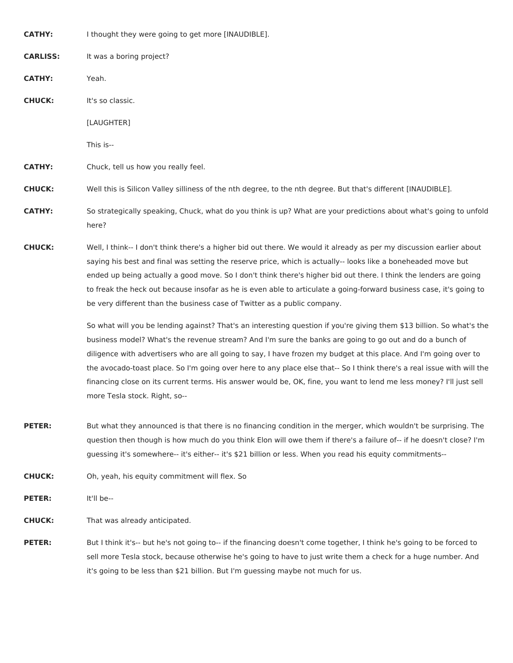**CATHY:** I thought they were going to get more [INAUDIBLE]. **CARLISS:** It was a boring project? **CATHY:** Yeah. **CHUCK:** It's so classic. [LAUGHTER] This is-- **CATHY:** Chuck, tell us how you really feel. **CHUCK:** Well this is Silicon Valley silliness of the nth degree, to the nth degree. But that's different [INAUDIBLE]. **CATHY:** So strategically speaking, Chuck, what do you think is up? What are your predictions about what's going to unfold here? **CHUCK:** Well, I think-- I don't think there's a higher bid out there. We would it already as per my discussion earlier about saying his best and final was setting the reserve price, which is actually-- looks like a boneheaded move but ended up being actually a good move. So I don't think there's higher bid out there. I think the lenders are going to freak the heck out because insofar as he is even able to articulate a going-forward business case, it's going to

> So what will you be lending against? That's an interesting question if you're giving them \$13 billion. So what's the business model? What's the revenue stream? And I'm sure the banks are going to go out and do a bunch of diligence with advertisers who are all going to say, I have frozen my budget at this place. And I'm going over to the avocado-toast place. So I'm going over here to any place else that-- So I think there's a real issue with will the

financing close on its current terms. His answer would be, OK, fine, you want to lend me less money? I'll just sell more Tesla stock. Right, so--

**PETER:** But what they announced is that there is no financing condition in the merger, which wouldn't be surprising. The question then though is how much do you think Elon will owe them if there's a failure of-- if he doesn't close? I'm guessing it's somewhere-- it's either-- it's \$21 billion or less. When you read his equity commitments--

be very different than the business case of Twitter as a public company.

**CHUCK:** Oh, yeah, his equity commitment will flex. So

**PETER:** It'll be--

**CHUCK:** That was already anticipated.

**PETER:** But I think it's-- but he's not going to-- if the financing doesn't come together, I think he's going to be forced to sell more Tesla stock, because otherwise he's going to have to just write them a check for a huge number. And it's going to be less than \$21 billion. But I'm guessing maybe not much for us.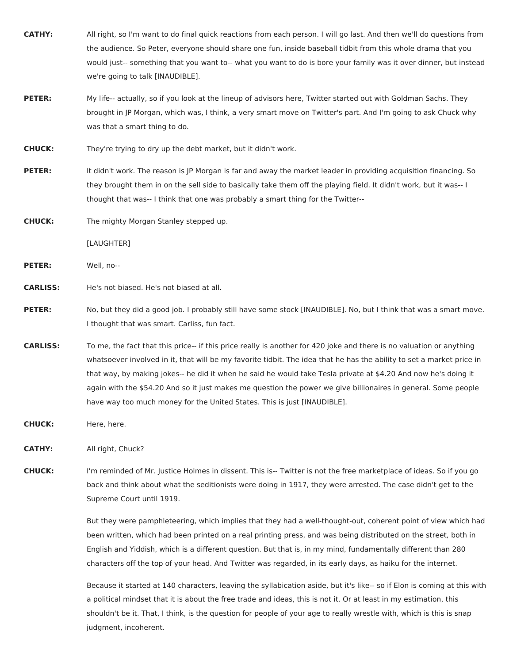- **CATHY:** All right, so I'm want to do final quick reactions from each person. I will go last. And then we'll do questions from the audience. So Peter, everyone should share one fun, inside baseball tidbit from this whole drama that you would just-- something that you want to-- what you want to do is bore your family was it over dinner, but instead we're going to talk [INAUDIBLE].
- **PETER:** My life-- actually, so if you look at the lineup of advisors here, Twitter started out with Goldman Sachs. They brought in JP Morgan, which was, I think, a very smart move on Twitter's part. And I'm going to ask Chuck why was that a smart thing to do.
- **CHUCK:** They're trying to dry up the debt market, but it didn't work.
- **PETER:** It didn't work. The reason is JP Morgan is far and away the market leader in providing acquisition financing. So they brought them in on the sell side to basically take them off the playing field. It didn't work, but it was-- I thought that was-- I think that one was probably a smart thing for the Twitter--
- **CHUCK:** The mighty Morgan Stanley stepped up.
	- [LAUGHTER]
- **PETER:** Well, no--

**CARLISS:** He's not biased. He's not biased at all.

- **PETER:** No, but they did a good job. I probably still have some stock [INAUDIBLE]. No, but I think that was a smart move. I thought that was smart. Carliss, fun fact.
- **CARLISS:** To me, the fact that this price-- if this price really is another for 420 joke and there is no valuation or anything whatsoever involved in it, that will be my favorite tidbit. The idea that he has the ability to set a market price in that way, by making jokes-- he did it when he said he would take Tesla private at \$4.20 And now he's doing it again with the \$54.20 And so it just makes me question the power we give billionaires in general. Some people have way too much money for the United States. This is just [INAUDIBLE].
- **CHUCK:** Here, here.

**CATHY:** All right, Chuck?

**CHUCK:** I'm reminded of Mr. Justice Holmes in dissent. This is-- Twitter is not the free marketplace of ideas. So if you go back and think about what the seditionists were doing in 1917, they were arrested. The case didn't get to the Supreme Court until 1919.

> But they were pamphleteering, which implies that they had a well-thought-out, coherent point of view which had been written, which had been printed on a real printing press, and was being distributed on the street, both in English and Yiddish, which is a different question. But that is, in my mind, fundamentally different than 280 characters off the top of your head. And Twitter was regarded, in its early days, as haiku for the internet.

> Because it started at 140 characters, leaving the syllabication aside, but it's like-- so if Elon is coming at this with a political mindset that it is about the free trade and ideas, this is not it. Or at least in my estimation, this shouldn't be it. That, I think, is the question for people of your age to really wrestle with, which is this is snap judgment, incoherent.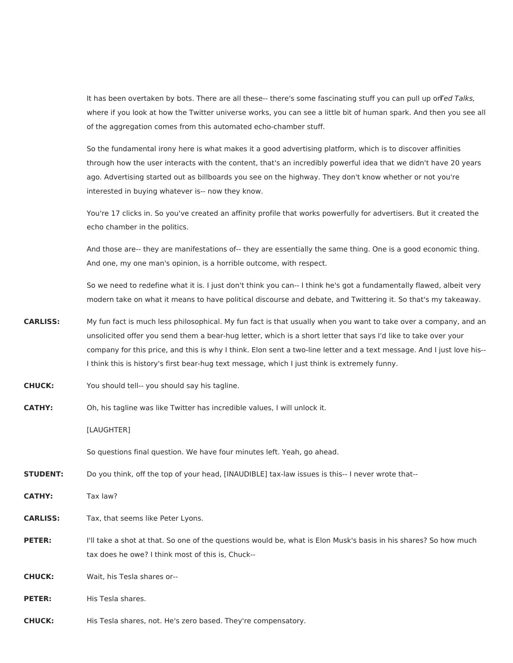It has been overtaken by bots. There are all these-- there's some fascinating stuff you can pull up orTed Talks, where if you look at how the Twitter universe works, you can see a little bit of human spark. And then you see all of the aggregation comes from this automated echo-chamber stuff.

So the fundamental irony here is what makes it a good advertising platform, which is to discover affinities through how the user interacts with the content, that's an incredibly powerful idea that we didn't have 20 years ago. Advertising started out as billboards you see on the highway. They don't know whether or not you're interested in buying whatever is-- now they know.

You're 17 clicks in. So you've created an affinity profile that works powerfully for advertisers. But it created the echo chamber in the politics.

And those are-- they are manifestations of-- they are essentially the same thing. One is a good economic thing. And one, my one man's opinion, is a horrible outcome, with respect.

So we need to redefine what it is. I just don't think you can-- I think he's got a fundamentally flawed, albeit very modern take on what it means to have political discourse and debate, and Twittering it. So that's my takeaway.

- **CARLISS:** My fun fact is much less philosophical. My fun fact is that usually when you want to take over a company, and an unsolicited offer you send them a bear-hug letter, which is a short letter that says I'd like to take over your company for this price, and this is why I think. Elon sent a two-line letter and a text message. And I just love his-- I think this is history's first bear-hug text message, which I just think is extremely funny.
- **CHUCK:** You should tell-- you should say his tagline.
- **CATHY:** Oh, his tagline was like Twitter has incredible values, I will unlock it.

[LAUGHTER]

So questions final question. We have four minutes left. Yeah, go ahead.

**STUDENT:** Do you think, off the top of your head, [INAUDIBLE] tax-law issues is this-- I never wrote that--

**CATHY:** Tax law?

**CARLISS:** Tax, that seems like Peter Lyons.

**PETER:** I'll take a shot at that. So one of the questions would be, what is Elon Musk's basis in his shares? So how much tax does he owe? I think most of this is, Chuck--

**CHUCK:** Wait, his Tesla shares or--

**PETER:** His Tesla shares.

**CHUCK:** His Tesla shares, not. He's zero based. They're compensatory.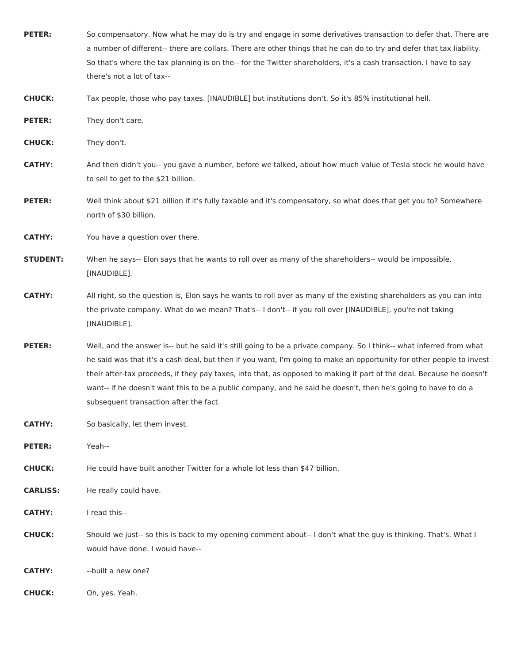| <b>PETER:</b>   | So compensatory. Now what he may do is try and engage in some derivatives transaction to defer that. There are<br>a number of different-- there are collars. There are other things that he can do to try and defer that tax liability.<br>So that's where the tax planning is on the-- for the Twitter shareholders, it's a cash transaction. I have to say<br>there's not a lot of tax--                                                                                                                                       |
|-----------------|----------------------------------------------------------------------------------------------------------------------------------------------------------------------------------------------------------------------------------------------------------------------------------------------------------------------------------------------------------------------------------------------------------------------------------------------------------------------------------------------------------------------------------|
| <b>CHUCK:</b>   | Tax people, those who pay taxes. [INAUDIBLE] but institutions don't. So it's 85% institutional hell.                                                                                                                                                                                                                                                                                                                                                                                                                             |
| <b>PETER:</b>   | They don't care.                                                                                                                                                                                                                                                                                                                                                                                                                                                                                                                 |
| <b>CHUCK:</b>   | They don't.                                                                                                                                                                                                                                                                                                                                                                                                                                                                                                                      |
| <b>CATHY:</b>   | And then didn't you-- you gave a number, before we talked, about how much value of Tesla stock he would have<br>to sell to get to the \$21 billion.                                                                                                                                                                                                                                                                                                                                                                              |
| <b>PETER:</b>   | Well think about \$21 billion if it's fully taxable and it's compensatory, so what does that get you to? Somewhere<br>north of \$30 billion.                                                                                                                                                                                                                                                                                                                                                                                     |
| <b>CATHY:</b>   | You have a question over there.                                                                                                                                                                                                                                                                                                                                                                                                                                                                                                  |
| <b>STUDENT:</b> | When he says-- Elon says that he wants to roll over as many of the shareholders-- would be impossible.<br>[INAUDIBLE].                                                                                                                                                                                                                                                                                                                                                                                                           |
| <b>CATHY:</b>   | All right, so the question is, Elon says he wants to roll over as many of the existing shareholders as you can into<br>the private company. What do we mean? That's-- I don't-- if you roll over [INAUDIBLE], you're not taking<br>[INAUDIBLE].                                                                                                                                                                                                                                                                                  |
| <b>PETER:</b>   | Well, and the answer is-- but he said it's still going to be a private company. So I think-- what inferred from what<br>he said was that it's a cash deal, but then if you want, I'm going to make an opportunity for other people to invest<br>their after-tax proceeds, if they pay taxes, into that, as opposed to making it part of the deal. Because he doesn't<br>want-- if he doesn't want this to be a public company, and he said he doesn't, then he's going to have to do a<br>subsequent transaction after the fact. |
| <b>CATHY:</b>   | So basically, let them invest.                                                                                                                                                                                                                                                                                                                                                                                                                                                                                                   |
| <b>PETER:</b>   | Yeah--                                                                                                                                                                                                                                                                                                                                                                                                                                                                                                                           |
| <b>CHUCK:</b>   | He could have built another Twitter for a whole lot less than \$47 billion.                                                                                                                                                                                                                                                                                                                                                                                                                                                      |
| <b>CARLISS:</b> | He really could have.                                                                                                                                                                                                                                                                                                                                                                                                                                                                                                            |
| <b>CATHY:</b>   | I read this--                                                                                                                                                                                                                                                                                                                                                                                                                                                                                                                    |
| <b>CHUCK:</b>   | Should we just-- so this is back to my opening comment about-- I don't what the guy is thinking. That's. What I<br>would have done. I would have--                                                                                                                                                                                                                                                                                                                                                                               |

**CATHY:** --built a new one?

**CHUCK:** Oh, yes. Yeah.